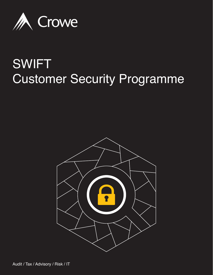

## SWIFT Customer Security Programme

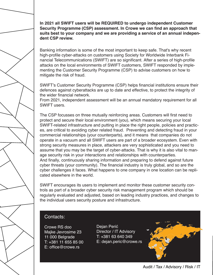**In 2021 all SWIFT users will be REQUIRED to undergo independent Customer Security Programme (CSP) assessment. In Crowe we can find an approach that suits best to your company and we are providing a service of an annual independent CSP review.**

Banking information is some of the most important to keep safe. That's why recent high-profile cyber-attacks on customers using Society for Worldwide Interbank Financial Telecommunications (SWIFT) are so significant. After a series of high-profile attacks on the local environments of SWIFT customers, SWIFT responded by implementing the Customer Security Programme (CSP) to advise customers on how to mitigate the risk of fraud.

SWIFT's Customer Security Programme (CSP) helps financial institutions ensure their defences against cyberattacks are up to date and effective, to protect the integrity of the wider financial network.

From 2021, independent assessment will be an annual mandatory requirement for all SWIFT users.

The CSP focusses on three mutually reinforcing areas. Customers will first need to protect and secure their local environment (you), which means securing your local SWIFT-related infrastructure and putting in place the right people, policies and practices, are critical to avoiding cyber related fraud. Preventing and detecting fraud in your commercial relationships (your counterparts), and it means that companies do not operate in a vacuum and all SWIFT users are part of a broader ecosystem. Even with strong security measures in place, attackers are very sophisticated and you need to assume that you may be the target of cyber-attacks. That is why it is also vital to manage security risk in your interactions and relationships with counterparties. And finally, continuously sharing information and preparing to defend against future cyber threats (your community). The financial industry is truly global, and so are the cyber challenges it faces. What happens to one company in one location can be replicated elsewhere in the world.

SWIFT encourages its users to implement and monitor these customer security controls as part of a broader cyber security risk management program which should be regularly evaluated and adjusted, based on leading industry practices, and changes to the individual users security posture and infrastructure.

## Contacts:

Crowe RS doo Majke Jevrosime 23 11 000 Belgrade T: +381 11 655 85 00 E: office@crowe.rs

Dejan Perić Director / IT Advisory T: +381 63 640 349 E: dejan.peric@crowe.rs